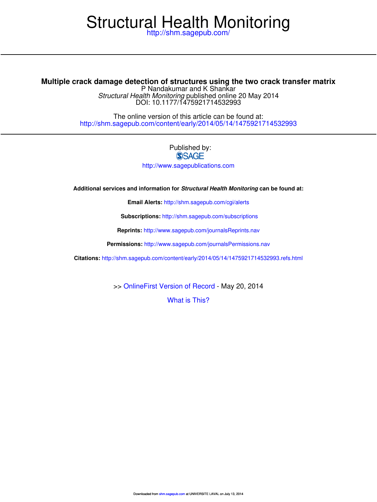# Structural Health Monitoring

http://shm.sagepub.com/

DOI: 10.1177/1475921714532993 Structural Health Monitoring published online 20 May 2014 P Nandakumar and K Shankar **Multiple crack damage detection of structures using the two crack transfer matrix**

> http://shm.sagepub.com/content/early/2014/05/14/1475921714532993 The online version of this article can be found at:

## Published by:<br>
SAGE

http://www.sagepublications.com

**Additional services and information for Structural Health Monitoring can be found at:**

**Email Alerts:** http://shm.sagepub.com/cgi/alerts

**Subscriptions:** http://shm.sagepub.com/subscriptions

**Reprints:** http://www.sagepub.com/journalsReprints.nav

**Permissions:** http://www.sagepub.com/journalsPermissions.nav

**Citations:** http://shm.sagepub.com/content/early/2014/05/14/1475921714532993.refs.html

>> OnlineFirst Version of Record - May 20, 2014

What is This?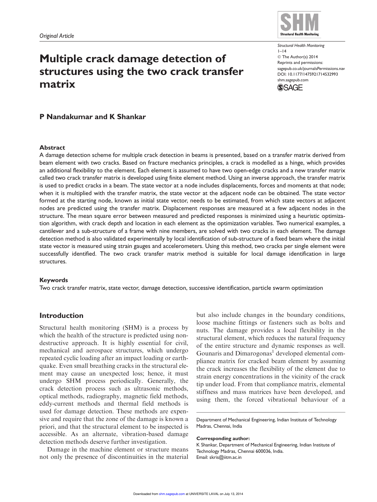### Multiple crack damage detection of structures using the two crack transfer matrix

Structural Health Monitoring  $1 - 14$ © The Author(s) 2014 Reprints and permissions: sagepub.co.uk/journalsPermissions.nav DOI: 10.1177/1475921714532993 shm.sagepub.com **SSAGE** 



#### Abstract

A damage detection scheme for multiple crack detection in beams is presented, based on a transfer matrix derived from beam element with two cracks. Based on fracture mechanics principles, a crack is modelled as a hinge, which provides an additional flexibility to the element. Each element is assumed to have two open-edge cracks and a new transfer matrix called two crack transfer matrix is developed using finite element method. Using an inverse approach, the transfer matrix is used to predict cracks in a beam. The state vector at a node includes displacements, forces and moments at that node; when it is multiplied with the transfer matrix, the state vector at the adjacent node can be obtained. The state vector formed at the starting node, known as initial state vector, needs to be estimated, from which state vectors at adjacent nodes are predicted using the transfer matrix. Displacement responses are measured at a few adjacent nodes in the structure. The mean square error between measured and predicted responses is minimized using a heuristic optimization algorithm, with crack depth and location in each element as the optimization variables. Two numerical examples, a cantilever and a sub-structure of a frame with nine members, are solved with two cracks in each element. The damage detection method is also validated experimentally by local identification of sub-structure of a fixed beam where the initial state vector is measured using strain gauges and accelerometers. Using this method, two cracks per single element were successfully identified. The two crack transfer matrix method is suitable for local damage identification in large structures.

#### Keywords

Two crack transfer matrix, state vector, damage detection, successive identification, particle swarm optimization

#### Introduction

Structural health monitoring (SHM) is a process by which the health of the structure is predicted using nondestructive approach. It is highly essential for civil, mechanical and aerospace structures, which undergo repeated cyclic loading after an impact loading or earthquake. Even small breathing cracks in the structural element may cause an unexpected loss; hence, it must undergo SHM process periodically. Generally, the crack detection process such as ultrasonic methods, optical methods, radiography, magnetic field methods, eddy-current methods and thermal field methods is used for damage detection. These methods are expensive and require that the zone of the damage is known a priori, and that the structural element to be inspected is accessible. As an alternate, vibration-based damage detection methods deserve further investigation.

Damage in the machine element or structure means not only the presence of discontinuities in the material

but also include changes in the boundary conditions, loose machine fittings or fasteners such as bolts and nuts. The damage provides a local flexibility in the structural element, which reduces the natural frequency of the entire structure and dynamic responses as well. Gounaris and Dimarogonas<sup>1</sup> developed elemental compliance matrix for cracked beam element by assuming the crack increases the flexibility of the element due to strain energy concentrations in the vicinity of the crack tip under load. From that compliance matrix, elemental stiffness and mass matrices have been developed, and using them, the forced vibrational behaviour of a

Department of Mechanical Engineering, Indian Institute of Technology Madras, Chennai, India

#### Corresponding author:

K Shankar, Department of Mechanical Engineering, Indian Institute of Technology Madras, Chennai 600036, India. Email: skris@iitm.ac.in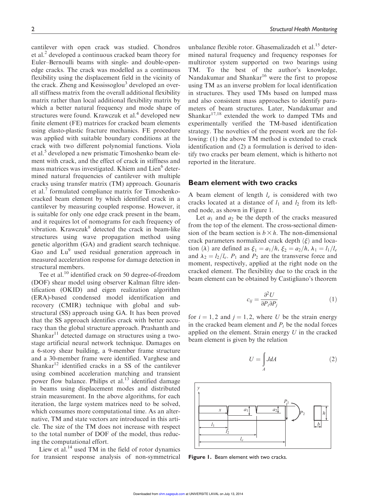cantilever with open crack was studied. Chondros et al.<sup>2</sup> developed a continuous cracked beam theory for Euler–Bernoulli beams with single- and double-openedge cracks. The crack was modelled as a continuous flexibility using the displacement field in the vicinity of the crack. Zheng and Kessissoglou<sup>3</sup> developed an overall stiffness matrix from the overall additional flexibility matrix rather than local additional flexibility matrix by which a better natural frequency and mode shape of structures were found. Krawczuk et al.<sup>4</sup> developed new finite element (FE) matrices for cracked beam elements using elasto-plastic fracture mechanics. FE procedure was applied with suitable boundary conditions at the crack with two different polynomial functions. Viola et al.<sup>5</sup> developed a new prismatic Timoshenko beam element with crack, and the effect of crack in stiffness and mass matrices was investigated. Khiem and Lien<sup>6</sup> determined natural frequencies of cantilever with multiple cracks using transfer matrix (TM) approach. Gounaris et al.<sup>7</sup> formulated compliance matrix for Timoshenkocracked beam element by which identified crack in a cantilever by measuring coupled response. However, it is suitable for only one edge crack present in the beam, and it requires lot of nomograms for each frequency of vibration. Krawczuk<sup>8</sup> detected the crack in beam-like structures using wave propagation method using genetic algorithm (GA) and gradient search technique. Gao and Lu<sup>9</sup> used residual generation approach in measured acceleration response for damage detection in structural members.

Tee et al.<sup>10</sup> identified crack on 50 degree-of-freedom (DOF) shear model using observer Kalman filtre identification (OKID) and eigen realization algorithm (ERA)-based condensed model identification and recovery (CMIR) technique with global and substructural (SS) approach using GA. It has been proved that the SS approach identifies crack with better accuracy than the global structure approach. Prashanth and  $Shankar<sup>11</sup>$  detected damage on structures using a twostage artificial neural network technique. Damages on a 6-story shear building, a 9-member frame structure and a 30-member frame were identified. Varghese and Shankar $12$  identified cracks in a SS of the cantilever using combined acceleration matching and transient power flow balance. Philips et al.<sup>13</sup> identified damage in beams using displacement modes and distributed strain measurement. In the above algorithms, for each iteration, the large system matrices need to be solved, which consumes more computational time. As an alternative, TM and state vectors are introduced in this article. The size of the TM does not increase with respect to the total number of DOF of the model, thus reducing the computational effort.

Liew et al. $^{14}$  used TM in the field of rotor dynamics for transient response analysis of non-symmetrical

unbalance flexible rotor. Ghasemalizadeh et al.<sup>15</sup> determined natural frequency and frequency responses for multirotor system supported on two bearings using TM. To the best of the author's knowledge, Nandakumar and Shankar<sup>16</sup> were the first to propose using TM as an inverse problem for local identification in structures. They used TMs based on lumped mass and also consistent mass approaches to identify parameters of beam structures. Later, Nandakumar and Shankar<sup>17,18</sup> extended the work to damped TMs and experimentally verified the TM-based identification strategy. The novelties of the present work are the following: (1) the above TM method is extended to crack identification and (2) a formulation is derived to identify two cracks per beam element, which is hitherto not reported in the literature.

#### Beam element with two cracks

A beam element of length  $l_e$  is considered with two cracks located at a distance of  $l_1$  and  $l_2$  from its leftend node, as shown in Figure 1.

Let  $a_1$  and  $a_2$  be the depth of the cracks measured from the top of the element. The cross-sectional dimension of the beam section is  $b \times h$ . The non-dimensional crack parameters normalized crack depth  $(\xi)$  and location ( $\lambda$ ) are defined as  $\xi_1 = a_1/h$ ,  $\xi_2 = a_2/h$ ,  $\lambda_1 = l_1/l_e$ and  $\lambda_2 = l_2/l_e$ .  $P_1$  and  $P_2$  are the transverse force and moment, respectively, applied at the right node on the cracked element. The flexibility due to the crack in the beam element can be obtained by Castigliano's theorem

$$
c_{ij} = \frac{\partial^2 U}{\partial P_i \partial P_j} \tag{1}
$$

for  $i = 1, 2$  and  $j = 1, 2$ , where U be the strain energy in the cracked beam element and  $P_i$  be the nodal forces applied on the element. Strain energy  $U$  in the cracked beam element is given by the relation

$$
U = \int_{A} J dA \tag{2}
$$



Figure 1. Beam element with two cracks.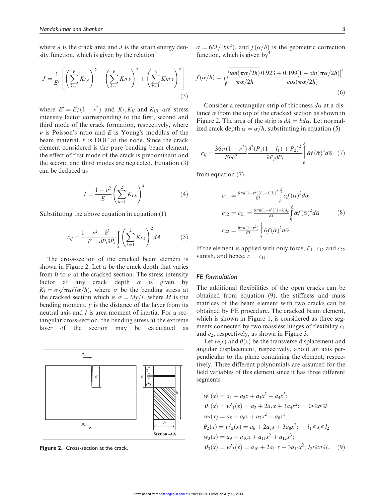where  $\Lambda$  is the crack area and  $J$  is the strain energy density function, which is given by the relation $4$ 

$$
J = \frac{1}{E'} \left[ \left( \sum_{k=1}^{6} K_{I,k} \right)^2 + \left( \sum_{k=1}^{6} K_{II,k} \right)^2 + \left( \sum_{k=1}^{6} K_{III,k} \right)^2 \right]
$$
(3)

where  $E' = E/(1 - \nu^2)$  and  $K_I, K_{II}$  and  $K_{III}$  are stress intensity factor corresponding to the first, second and third mode of the crack formation, respectively, where  $\nu$  is Poisson's ratio and E is Young's modulus of the beam material.  $k$  is DOF at the node. Since the crack element considered is the pure bending beam element, the effect of first mode of the crack is predominant and the second and third modes are neglected. Equation (3) can be deduced as

$$
J = \frac{1 - \nu^2}{E} \left( \sum_{k=1}^{2} K_{I,k} \right)^2
$$
 (4)

Substituting the above equation in equation (1)

$$
c_{ij} = \frac{1 - \nu^2}{E} \frac{\partial^2}{\partial P_j \partial P_i} \int\limits_A \left( \sum_{k=1}^2 K_{I,k} \right)^2 dA \tag{5}
$$

The cross-section of the cracked beam element is shown in Figure 2. Let  $\alpha$  be the crack depth that varies from 0 to  $a$  at the cracked section. The stress intensity factor at any crack depth  $\alpha$  is given by  $K_I = \sigma \sqrt{\pi \alpha} f(\alpha/h)$ , where  $\sigma$  be the bending stress at the cracked section which is  $\sigma = Mv/I$ , where M is the bending moment,  $y$  is the distance of the layer from its neutral axis and I is area moment of inertia. For a rectangular cross-section, the bending stress at the extreme layer of the section may be calculated as



Figure 2. Cross-section at the crack.

 $\sigma = 6M/(bh^2)$ , and  $f(\alpha/h)$  is the geometric correction function, which is given by  $4\%$ 

$$
f(\alpha/h) = \sqrt{\frac{\tan(\pi \alpha/2h)}{\pi \alpha/2h}} \frac{0.923 + 0.199[1 - \sin(\pi \alpha/2h)]^4}{\cos(\pi \alpha/2h)}
$$
(6)

Consider a rectangular strip of thickness  $d\alpha$  at a distance  $\alpha$  from the top of the cracked section as shown in Figure 2. The area of the strip is  $dA = bd\alpha$ . Let normalized crack depth  $\bar{\alpha} = \alpha/h$ , substituting in equation (5)

$$
c_{ij} = \frac{36\pi(1-\nu^2)}{Ebh^2} \frac{\partial^2 (P_1(1-l_1)+P_2)^2}{\partial P_j \partial P_i} \int\limits_0^{\xi} \bar{\alpha} f(\bar{\alpha})^2 d\bar{\alpha} \quad (7)
$$

from equation (7)

$$
c_{11} = \frac{6\pi h(1 - v^2)((1 - \lambda)l_e)^2}{EI} \int_0^{\xi} \bar{\alpha} f(\bar{\alpha})^2 d\bar{\alpha}
$$
  
\n
$$
c_{12} = c_{21} = \frac{6\pi h(1 - v^2)(1 - \lambda)l_e}{EI} \int_0^{\xi} \bar{\alpha} f(\bar{\alpha})^2 d\bar{\alpha}
$$
  
\n
$$
c_{22} = \frac{6\pi h(1 - v^2)}{EI} \int_0^{\xi} \bar{\alpha} f(\bar{\alpha})^2 d\bar{\alpha}
$$
  
\n(8)

If the element is applied with only force,  $P_1$ ,  $c_{12}$  and  $c_{22}$ vanish, and hence,  $c = c_{11}$ .

#### FE formulation

The additional flexibilities of the open cracks can be obtained from equation (9), the stiffness and mass matrices of the beam element with two cracks can be obtained by FE procedure. The cracked beam element, which is shown in Figure 1, is considered as three segments connected by two massless hinges of flexibility  $c_1$ and  $c_2$ , respectively, as shown in Figure 3.

Let  $w(x)$  and  $\theta(x)$  be the transverse displacement and angular displacement, respectively, about an axis perpendicular to the plane containing the element, respectively. Three different polynomials are assumed for the field variables of this element since it has three different segments

$$
w_1(x) = a_1 + a_2x + a_3x^2 + a_4x^3;
$$
  
\n
$$
\theta_1(x) = w'_1(x) = a_2 + 2a_3x + 3a_4x^2;
$$
 0\le x\le l<sub>1</sub>  
\n
$$
w_2(x) = a_5 + a_6x + a_7x^2 + a_8x^3;
$$
  
\n
$$
\theta_2(x) = w'_2(x) = a_6 + 2a_7x + 3a_8x^2;
$$
  $l_1 \le x \le l_2$   
\n
$$
w_3(x) = a_9 + a_{10}x + a_{11}x^2 + a_{12}x^3;
$$
  
\n
$$
\theta_3(x) = w'_3(x) = a_{10} + 2a_{11}x + 3a_{12}x^2; l_2 \le x \le l_e
$$
 (9)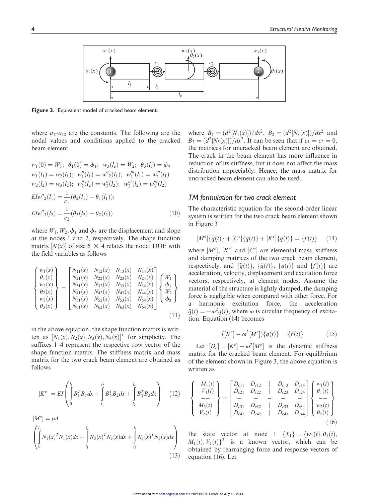

Figure 3. Equivalent model of cracked beam element.

where  $a_1-a_{12}$  are the constants. The following are the nodal values and conditions applied to the cracked beam element

$$
w_1(0) = W_1; \ \theta_1(0) = \phi_1; \ w_3(l_e) = W_2; \ \theta_3(l_e) = \phi_2
$$
  
\n
$$
w_1(l_1) = w_2(l_1); \ w_1''(l_1) = w''_2(l_1); \ w_1''(l_1) = w_2''(l_1)
$$
  
\n
$$
w_2(l_2) = w_3(l_2); \ w_2''(l_2) = w_3''(l_2); \ w_2''(l_2) = w_3''(l_2)
$$
  
\n
$$
E I w''_2(l_1) = \frac{1}{c_1} (\theta_2(l_1) - \theta_1(l_1));
$$
  
\n
$$
E I w''_3(l_2) = \frac{1}{c_2} (\theta_3(l_2) - \theta_2(l_2))
$$
\n(10)

where  $W_1, W_2, \phi_1$  and  $\phi_2$  are the displacement and slope at the nodes 1 and 2, respectively. The shape function matrix  $[N(x)]$  of size 6  $\times$  4 relates the nodal DOF with the field variables as follows

$$
\begin{Bmatrix}\nw_1(x) \\
\theta_1(x) \\
w_2(x) \\
\theta_2(x) \\
w_3(x) \\
\theta_3(x)\n\end{Bmatrix} = \begin{bmatrix}\nN_{11}(x) & N_{12}(x) & N_{13}(x) & N_{14}(x) \\
N_{21}(x) & N_{22}(x) & N_{23}(x) & N_{24}(x) \\
N_{31}(x) & N_{32}(x) & N_{33}(x) & N_{34}(x) \\
N_{41}(x) & N_{42}(x) & N_{43}(x) & N_{44}(x) \\
N_{51}(x) & N_{52}(x) & N_{53}(x) & N_{54}(x) \\
N_{61}(x) & N_{62}(x) & N_{63}(x) & N_{64}(x)\n\end{bmatrix} \begin{Bmatrix}\nW_1 \\
\phi_1 \\
W_2 \\
\phi_2\n\end{Bmatrix}
$$
\n(11)

in the above equation, the shape function matrix is written as  $[N_1(x), N_2(x), N_3(x), N_4(x)]^T$  for simplicity. The suffixes 1–4 represent the respective row vector of the shape function matrix. The stiffness matrix and mass matrix for the two crack beam element are obtained as follows

$$
[K^{e}] = EI \left( \int_{0}^{l_{1}} B_{1}^{T} B_{1} dx + \int_{l_{1}}^{l_{2}} B_{2}^{T} B_{2} dx + \int_{l_{2}}^{l_{e}} B_{3}^{T} B_{3} dx \right) \quad (12)
$$

$$
[M^{e}] = \rho A
$$
  
\n
$$
\left(\int_{0}^{l_{1}} N_{1}(x)^{T} N_{1}(x) dx + \int_{l_{1}}^{l_{2}} N_{3}(x)^{T} N_{3}(x) dx + \int_{l_{2}}^{l_{e}} N_{5}(x)^{T} N_{5}(x) dx\right)
$$
\n(13)

where  $B_1 = \frac{d^2[N_1(x)]}{dx^2}$ ,  $B_2 = \frac{d^2[N_3(x)]}{dx^2}$  and  $B_3 = (d^2[N_5(x)])/dx^2$ . It can be seen that if  $c_1 = c_2 = 0$ , the matrices for uncracked beam element are obtained. The crack in the beam element has more influence in reduction of its stiffness, but it does not affect the mass distribution appreciably. Hence, the mass matrix for uncracked beam element can also be used.

#### TM formulation for two crack element

The characteristic equation for the second-order linear system is written for the two crack beam element shown in Figure 3

$$
[M^{e}]\{\ddot{q}(t)\} + [C^{e}]\{\dot{q}(t)\} + [K^{e}]\{q(t)\} = \{f(t)\} \tag{14}
$$

where  $[M^e]$ ,  $[K^e]$  and  $[C^e]$  are elemental mass, stiffness and damping matrices of the two crack beam element, respectively, and  $\{\ddot{q}(t)\}\$ ,  $\{\dot{q}(t)\}\$ ,  $\{q(t)\}\$  and  $\{f(t)\}\$  are acceleration, velocity, displacement and excitation force vectors, respectively, at element nodes. Assume the material of the structure is lightly damped, the damping force is negligible when compared with other force. For a harmonic excitation force, the acceleration  $\ddot{q}(t) = -\omega^2 q(t)$ , where  $\omega$  is circular frequency of excitation. Equation (14) becomes

$$
([Ke] - \omega2[Me])\{q(t)\} = \{f(t)\}
$$
 (15)

Let  $[D_c] = [K^e] - \omega^2 [M^e]$  is the dynamic stiffness matrix for the cracked beam element. For equilibrium of the element shown in Figure 3, the above equation is written as

$$
\begin{Bmatrix}\n-M_1(t) \\
-V_1(t) \\
-- \\
M_2(t) \\
V_2(t)\n\end{Bmatrix} = \begin{bmatrix}\nD_{c11} & D_{c12} & | & D_{c13} & D_{c14} \\
D_{c21} & D_{c22} & | & D_{c23} & D_{c24} \\
- & - & - & - & - \\
D_{c31} & D_{c32} & | & D_{c33} & D_{c34} \\
D_{c41} & D_{c42} & | & D_{c43} & D_{c44}\n\end{bmatrix} \begin{Bmatrix}\nw_1(t) \\
\theta_1(t) \\
-- \\
w_2(t) \\
\theta_2(t)\n\end{Bmatrix}
$$
\n(16)

the state vector at node 1  $\{X_1\} = \{w_1(t), \theta_1(t),\}$  $M_1(t), V_1(t)$ <sup>T</sup> is a known vector, which can be obtained by rearranging force and response vectors of equation (16). Let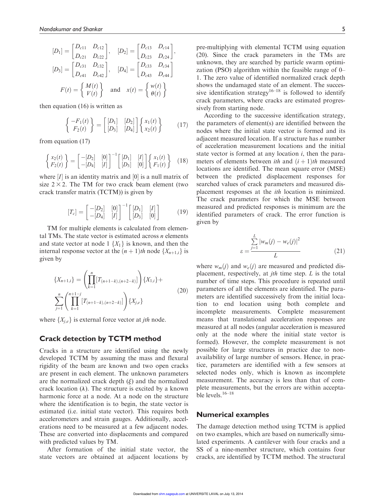$$
[D_1] = \begin{bmatrix} D_{c11} & D_{c12} \\ D_{c21} & D_{c22} \end{bmatrix}, \quad [D_2] = \begin{bmatrix} D_{c13} & D_{c14} \\ D_{c23} & D_{c24} \end{bmatrix},
$$
  
\n
$$
[D_3] = \begin{bmatrix} D_{c31} & D_{c32} \\ D_{c41} & D_{c42} \end{bmatrix}, \quad [D_4] = \begin{bmatrix} D_{c33} & D_{c34} \\ D_{c43} & D_{c44} \end{bmatrix}
$$
  
\n
$$
F(t) = \begin{Bmatrix} M(t) \\ V(t) \end{Bmatrix} \text{ and } x(t) = \begin{Bmatrix} w(t) \\ \theta(t) \end{Bmatrix}
$$

then equation (16) is written as

$$
\begin{Bmatrix} -F_1(t) \\ F_2(t) \end{Bmatrix} = \begin{bmatrix} [D_1] & [D_2] \\ [D_3] & [D_4] \end{bmatrix} \begin{Bmatrix} x_1(t) \\ x_2(t) \end{Bmatrix} \tag{17}
$$

from equation (17)

$$
\begin{Bmatrix} x_2(t) \\ F_2(t) \end{Bmatrix} = \begin{bmatrix} -[D_2] & [0] \\ -[D_4] & [I] \end{bmatrix}^{-1} \begin{bmatrix} [D_1] & [I] \\ [D_3] & [0] \end{bmatrix} \begin{Bmatrix} x_1(t) \\ F_1(t) \end{Bmatrix} (18)
$$

where  $[I]$  is an identity matrix and  $[0]$  is a null matrix of size  $2 \times 2$ . The TM for two crack beam element (two crack transfer matrix (TCTM)) is given by

$$
[T_c] = \begin{bmatrix} -[D_2] & [0] \\ -[D_4] & [I] \end{bmatrix}^{-1} \begin{bmatrix} [D_1] & [I] \\ [D_3] & [0] \end{bmatrix}
$$
(19)

TM for multiple elements is calculated from elemental TMs. The state vector is estimated across  $n$  elements and state vector at node 1  $\{X_1\}$  is known, and then the internal response vector at the  $(n + 1)$ th node  $\{X_{n+1,i}\}\$ is given by

$$
\{X_{n+1,i}\} = \left(\prod_{k=1}^{n} [T_{(n+1-k),(n+2-k)}]\right) \{X_{1,i}\} + \sum_{j=1}^{n} \left(\prod_{k=1}^{n+1-j} [T_{(n+1-k),(n+2-k)}]\right) \{X_{j,e}\}
$$
\n(20)

where  $\{X_{i,e}\}\$ is external force vector at *jth* node.

#### Crack detection by TCTM method

Cracks in a structure are identified using the newly developed TCTM by assuming the mass and flexural rigidity of the beam are known and two open cracks are present in each element. The unknown parameters are the normalized crack depth  $(\xi)$  and the normalized crack location  $(\lambda)$ . The structure is excited by a known harmonic force at a node. At a node on the structure where the identification is to begin, the state vector is estimated (i.e. initial state vector). This requires both accelerometers and strain gauges. Additionally, accelerations need to be measured at a few adjacent nodes. These are converted into displacements and compared with predicted values by TM.

After formation of the initial state vector, the state vectors are obtained at adjacent locations by pre-multiplying with elemental TCTM using equation (20). Since the crack parameters in the TMs are unknown, they are searched by particle swarm optimization (PSO) algorithm within the feasible range of 0– 1. The zero value of identified normalized crack depth shows the undamaged state of an element. The successive identification strategy<sup>16–18</sup> is followed to identify crack parameters, where cracks are estimated progressively from starting node.

According to the successive identification strategy, the parameters of element(s) are identified between the nodes where the initial state vector is formed and its adjacent measured location. If a structure has  $n$  number of acceleration measurement locations and the initial state vector is formed at any location  $i$ , then the parameters of elements between *ith* and  $(i + 1)$ th measured locations are identified. The mean square error (MSE) between the predicted displacement responses for searched values of crack parameters and measured displacement responses at the ith location is minimized. The crack parameters for which the MSE between measured and predicted responses is minimum are the identified parameters of crack. The error function is given by

$$
\varepsilon = \frac{\sum\limits_{j=1}^{L} |w_m(j) - w_e(j)|^2}{L} \tag{21}
$$

where  $w_m(j)$  and  $w_e(j)$  are measured and predicted displacement, respectively, at *jth* time step.  $L$  is the total number of time steps. This procedure is repeated until parameters of all the elements are identified. The parameters are identified successively from the initial location to end location using both complete and incomplete measurements. Complete measurement means that translational acceleration responses are measured at all nodes (angular acceleration is measured only at the node where the initial state vector is formed). However, the complete measurement is not possible for large structures in practice due to nonavailability of large number of sensors. Hence, in practice, parameters are identified with a few sensors at selected nodes only, which is known as incomplete measurement. The accuracy is less than that of complete measurements, but the errors are within acceptable levels. $16-18$ 

#### Numerical examples

The damage detection method using TCTM is applied on two examples, which are based on numerically simulated experiments. A cantilever with four cracks and a SS of a nine-member structure, which contains four cracks, are identified by TCTM method. The structural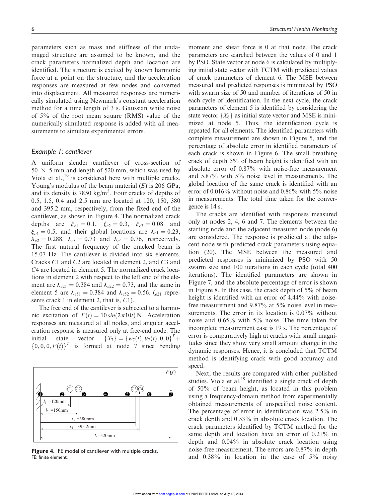parameters such as mass and stiffness of the undamaged structure are assumed to be known, and the crack parameters normalized depth and location are identified. The structure is excited by known harmonic force at a point on the structure, and the acceleration responses are measured at few nodes and converted into displacement. All measured responses are numerically simulated using Newmark's constant acceleration method for a time length of 3 s. Gaussian white noise of 5% of the root mean square (RMS) value of the numerically simulated response is added with all measurements to simulate experimental errors.

#### Example 1: cantilever

A uniform slender cantilever of cross-section of  $50 \times 5$  mm and length of 520 mm, which was used by Viola et al., $^{19}$  is considered here with multiple cracks. Young's modulus of the beam material  $(E)$  is 206 GPa, and its density is  $7850 \text{ kg/m}^3$ . Four cracks of depths of 0.5, 1.5, 0.4 and 2.5 mm are located at 120, 150, 380 and 395.2 mm, respectively, from the fixed end of the cantilever, as shown in Figure 4. The normalized crack depths are  $\xi_{c1} = 0.1$ ,  $\xi_{c2} = 0.3$ ,  $\xi_{c3} = 0.08$  and  $\xi_{c4} = 0.5$ , and their global locations are  $\lambda_{c1} = 0.23$ ,  $\lambda_{c2} = 0.288$ ,  $\lambda_{c3} = 0.73$  and  $\lambda_{c4} = 0.76$ , respectively. The first natural frequency of the cracked beam is 15.07 Hz. The cantilever is divided into six elements. Cracks C1 and C2 are located in element 2, and C3 and C4 are located in element 5. The normalized crack locations in element 2 with respect to the left end of the element are  $\lambda_{e21} = 0.384$  and  $\lambda_{e22} = 0.73$ , and the same in element 5 are  $\lambda_{e51} = 0.384$  and  $\lambda_{e52} = 0.56$ . (e<sub>21</sub> represents crack 1 in element 2, that is, C1).

The free end of the cantilever is subjected to a harmonic excitation of  $F(t) = 10 \sin(2\pi 10t)$  N. Acceleration responses are measured at all nodes, and angular acceleration response is measured only at free-end node. The initial state vector  $\{X_7\} = \{w_7(t), \theta_7(t), 0, 0\}^T +$  $\{0, 0, 0, F(t)\}^T$  is formed at node 7 since bending



Figure 4. FE model of cantilever with multiple cracks. FE: finite element.

moment and shear force is 0 at that node. The crack parameters are searched between the values of 0 and 1 by PSO. State vector at node 6 is calculated by multiplying initial state vector with TCTM with predicted values of crack parameters of element 6. The MSE between measured and predicted responses is minimized by PSO with swarm size of 50 and number of iterations of 50 in each cycle of identification. In the next cycle, the crack parameters of element 5 is identified by considering the state vector  $\{X_6\}$  as initial state vector and MSE is minimized at node 5. Thus, the identification cycle is repeated for all elements. The identified parameters with complete measurement are shown in Figure 5, and the percentage of absolute error in identified parameters of each crack is shown in Figure 6. The small breathing crack of depth 5% of beam height is identified with an absolute error of 0.87% with noise-free measurement and 5.87% with 5% noise level in measurements. The global location of the same crack is identified with an error of  $0.016\%$  without noise and  $0.86\%$  with  $5\%$  noise in measurements. The total time taken for the convergence is 14 s.

The cracks are identified with responses measured only at nodes 2, 4, 6 and 7. The elements between the starting node and the adjacent measured node (node 6) are considered. The response is predicted at the adjacent node with predicted crack parameters using equation (20). The MSE between the measured and predicted responses is minimized by PSO with 50 swarm size and 100 iterations in each cycle (total 400 iterations). The identified parameters are shown in Figure 7, and the absolute percentage of error is shown in Figure 8. In this case, the crack depth of 5% of beam height is identified with an error of 4.44% with noisefree measurement and 9.87% at 5% noise level in measurements. The error in its location is 0.07% without noise and 0.65% with 5% noise. The time taken for incomplete measurement case is 19 s. The percentage of error is comparatively high at cracks with small magnitudes since they show very small amount change in the dynamic responses. Hence, it is concluded that TCTM method is identifying crack with good accuracy and speed.

Next, the results are compared with other published studies. Viola et al.<sup>19</sup> identified a single crack of depth of 50% of beam height, as located in this problem using a frequency-domain method from experimentally obtained measurements of unspecified noise content. The percentage of error in identification was 2.5% in crack depth and 0.53% in absolute crack location. The crack parameters identified by TCTM method for the same depth and location have an error of 0.21% in depth and 0.04% in absolute crack location using noise-free measurement. The errors are 0.87% in depth and 0.38% in location in the case of 5% noisy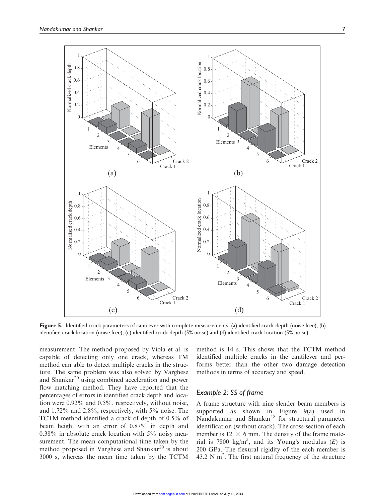

Figure 5. Identified crack parameters of cantilever with complete measurements: (a) identified crack depth (noise free), (b) identified crack location (noise free), (c) identified crack depth (5% noise) and (d) identified crack location (5% noise).

measurement. The method proposed by Viola et al. is capable of detecting only one crack, whereas TM method can able to detect multiple cracks in the structure. The same problem was also solved by Varghese and Shankar<sup>20</sup> using combined acceleration and power flow matching method. They have reported that the percentages of errors in identified crack depth and location were 0.92% and 0.5%, respectively, without noise, and 1.72% and 2.8%, respectively, with 5% noise. The TCTM method identified a crack of depth of 0.5% of beam height with an error of 0.87% in depth and 0.38% in absolute crack location with 5% noisy measurement. The mean computational time taken by the method proposed in Varghese and Shankar<sup>20</sup> is about 3000 s, whereas the mean time taken by the TCTM method is 14 s. This shows that the TCTM method identified multiple cracks in the cantilever and performs better than the other two damage detection methods in terms of accuracy and speed.

#### Example 2: SS of frame

A frame structure with nine slender beam members is supported as shown in Figure 9(a) used in Nandakumar and Shankar<sup>18</sup> for structural parameter identification (without crack). The cross-section of each member is  $12 \times 6$  mm. The density of the frame material is 7800 kg/m<sup>3</sup>, and its Young's modulus (E) is 200 GPa. The flexural rigidity of the each member is  $43.2$  N m<sup>2</sup>. The first natural frequency of the structure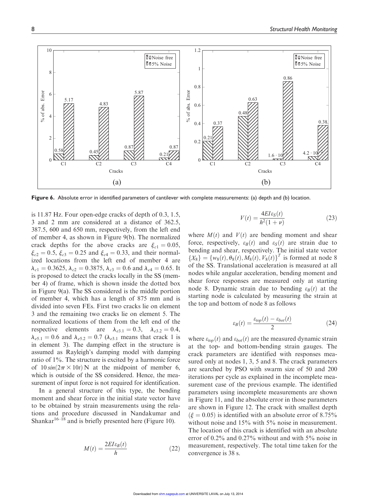

Figure 6. Absolute error in identified parameters of cantilever with complete measurements: (a) depth and (b) location.

is 11.87 Hz. Four open-edge cracks of depth of 0.3, 1.5, 3 and 2 mm are considered at a distance of 362.5, 387.5, 600 and 650 mm, respectively, from the left end of member 4, as shown in Figure 9(b). The normalized crack depths for the above cracks are  $\xi_{c1} = 0.05$ ,  $\xi_{c2} = 0.5$ ,  $\xi_{c3} = 0.25$  and  $\xi_{c4} = 0.33$ , and their normalized locations from the left end of member 4 are  $\lambda_{c1} = 0.3625, \lambda_{c2} = 0.3875, \lambda_{c3} = 0.6$  and  $\lambda_{c4} = 0.65$ . It is proposed to detect the cracks locally in the SS (member 4) of frame, which is shown inside the dotted box in Figure 9(a). The SS considered is the middle portion of member 4, which has a length of 875 mm and is divided into seven FEs. First two cracks lie on element 3 and the remaining two cracks lie on element 5. The normalized locations of them from the left end of the respective elements are  $\lambda_{e3.1} = 0.3$ ,  $\lambda_{e3.2} = 0.4$ ,  $\lambda_{e5.1} = 0.6$  and  $\lambda_{e5.2} = 0.7$  ( $\lambda_{e3.1}$  means that crack 1 is in element 3). The damping effect in the structure is assumed as Rayleigh's damping model with damping ratio of 1%. The structure is excited by a harmonic force of  $10 \sin(2\pi \times 10t)$  N at the midpoint of member 6, which is outside of the SS considered. Hence, the measurement of input force is not required for identification.

In a general structure of this type, the bending moment and shear force in the initial state vector have to be obtained by strain measurements using the relations and procedure discussed in Nandakumar and Shankar<sup>16–18</sup> and is briefly presented here (Figure 10).

$$
M(t) = \frac{2EI\varepsilon_B(t)}{h} \tag{22}
$$

$$
V(t) = \frac{4EI\varepsilon_S(t)}{h^2(1+\nu)}
$$
\n(23)

where  $M(t)$  and  $V(t)$  are bending moment and shear force, respectively,  $\varepsilon_B(t)$  and  $\varepsilon_S(t)$  are strain due to bending and shear, respectively. The initial state vector  ${X_8}$  = { $w_8(t), \theta_8(t), M_8(t), V_8(t)$ }<sup>T</sup> is formed at node 8 of the SS. Translational acceleration is measured at all nodes while angular acceleration, bending moment and shear force responses are measured only at starting node 8. Dynamic strain due to bending  $\varepsilon_B(t)$  at the starting node is calculated by measuring the strain at the top and bottom of node 8 as follows

$$
\varepsilon_B(t) = \frac{\varepsilon_{top}(t) - \varepsilon_{bot}(t)}{2} \tag{24}
$$

where  $\varepsilon_{top}(t)$  and  $\varepsilon_{bot}(t)$  are the measured dynamic strain at the top- and bottom-bending strain gauges. The crack parameters are identified with responses measured only at nodes 1, 3, 5 and 8. The crack parameters are searched by PSO with swarm size of 50 and 200 iterations per cycle as explained in the incomplete measurement case of the previous example. The identified parameters using incomplete measurements are shown in Figure 11, and the absolute error in those parameters are shown in Figure 12. The crack with smallest depth  $\xi = 0.05$  is identified with an absolute error of 8.75% without noise and 15% with 5% noise in measurement. The location of this crack is identified with an absolute error of 0.2% and 0.27% without and with 5% noise in measurement, respectively. The total time taken for the convergence is 38 s.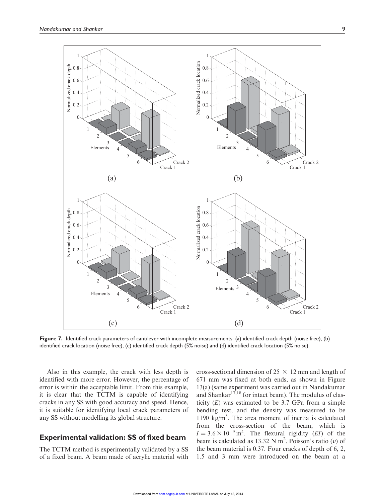

Figure 7. Identified crack parameters of cantilever with incomplete measurements: (a) identified crack depth (noise free), (b) identified crack location (noise free), (c) identified crack depth (5% noise) and (d) identified crack location (5% noise).

Also in this example, the crack with less depth is identified with more error. However, the percentage of error is within the acceptable limit. From this example, it is clear that the TCTM is capable of identifying cracks in any SS with good accuracy and speed. Hence, it is suitable for identifying local crack parameters of any SS without modelling its global structure.

#### Experimental validation: SS of fixed beam

The TCTM method is experimentally validated by a SS of a fixed beam. A beam made of acrylic material with

cross-sectional dimension of  $25 \times 12$  mm and length of 671 mm was fixed at both ends, as shown in Figure 13(a) (same experiment was carried out in Nandakumar and Shankar<sup>17,18</sup> for intact beam). The modulus of elasticity  $(E)$  was estimated to be 3.7 GPa from a simple bending test, and the density was measured to be 1190  $\text{kg/m}^3$ . The area moment of inertia is calculated from the cross-section of the beam, which is  $I = 3.6 \times 10^{-9}$  m<sup>4</sup>. The flexural rigidity (*EI*) of the beam is calculated as 13.32 N m<sup>2</sup>. Poisson's ratio  $(\nu)$  of the beam material is 0.37. Four cracks of depth of 6, 2, 1.5 and 3 mm were introduced on the beam at a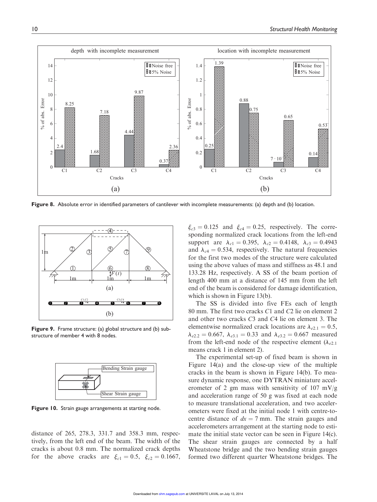

Figure 8. Absolute error in identified parameters of cantilever with incomplete measurements: (a) depth and (b) location.



Figure 9. Frame structure: (a) global structure and (b) substructure of member 4 with 8 nodes.



Figure 10. Strain gauge arrangements at starting node.

distance of 265, 278.3, 331.7 and 358.3 mm, respectively, from the left end of the beam. The width of the cracks is about 0.8 mm. The normalized crack depths for the above cracks are  $\xi_{c1} = 0.5$ ,  $\xi_{c2} = 0.1667$ ,  $\xi_{c3} = 0.125$  and  $\xi_{c4} = 0.25$ , respectively. The corresponding normalized crack locations from the left-end support are  $\lambda_{c1} = 0.395$ ,  $\lambda_{c2} = 0.4148$ ,  $\lambda_{c3} = 0.4943$ and  $\lambda_{c4} = 0.534$ , respectively. The natural frequencies for the first two modes of the structure were calculated using the above values of mass and stiffness as 48.1 and 133.28 Hz, respectively. A SS of the beam portion of length 400 mm at a distance of 145 mm from the left end of the beam is considered for damage identification, which is shown in Figure 13(b).

The SS is divided into five FEs each of length 80 mm. The first two cracks C1 and C2 lie on element 2 and other two cracks C3 and C4 lie on element 3. The elementwise normalized crack locations are  $\lambda_{e2.1} = 0.5$ ,  $\lambda_{e2.2} = 0.667$ ,  $\lambda_{e3.1} = 0.33$  and  $\lambda_{e3.2} = 0.667$  measured from the left-end node of the respective element ( $\lambda_{e2,1}$ ) means crack 1 in element 2).

The experimental set-up of fixed beam is shown in Figure 14(a) and the close-up view of the multiple cracks in the beam is shown in Figure 14(b). To measure dynamic response, one DYTRAN miniature accelerometer of 2 gm mass with sensitivity of 107 mV/g and acceleration range of 50 g was fixed at each node to measure translational acceleration, and two accelerometers were fixed at the initial node 1 with centre-tocentre distance of  $dx = 7$  mm. The strain gauges and accelerometers arrangement at the starting node to estimate the initial state vector can be seen in Figure 14(c). The shear strain gauges are connected by a half Wheatstone bridge and the two bending strain gauges formed two different quarter Wheatstone bridges. The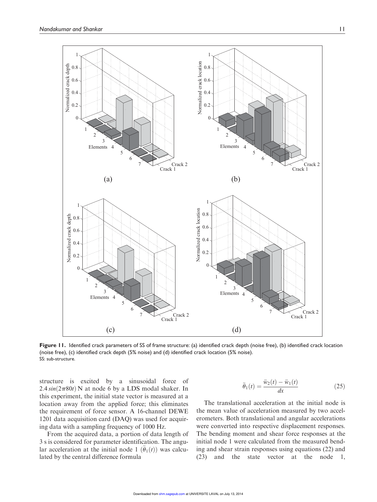

Figure 11. Identified crack parameters of SS of frame structure: (a) identified crack depth (noise free), (b) identified crack location (noise free), (c) identified crack depth (5% noise) and (d) identified crack location (5% noise). SS: sub-structure.

structure is excited by a sinusoidal force of  $2.4 \sin(2\pi 80t)$  N at node 6 by a LDS modal shaker. In this experiment, the initial state vector is measured at a location away from the applied force; this eliminates the requirement of force sensor. A 16-channel DEWE 1201 data acquisition card (DAQ) was used for acquiring data with a sampling frequency of 1000 Hz.

From the acquired data, a portion of data length of 3 s is considered for parameter identification. The angular acceleration at the initial node 1  $(\theta_1(t))$  was calculated by the central difference formula

$$
\ddot{\theta}_1(t) = \frac{\ddot{w}_2(t) - \ddot{w}_1(t)}{dx} \tag{25}
$$

The translational acceleration at the initial node is the mean value of acceleration measured by two accelerometers. Both translational and angular accelerations were converted into respective displacement responses. The bending moment and shear force responses at the initial node 1 were calculated from the measured bending and shear strain responses using equations (22) and (23) and the state vector at the node 1,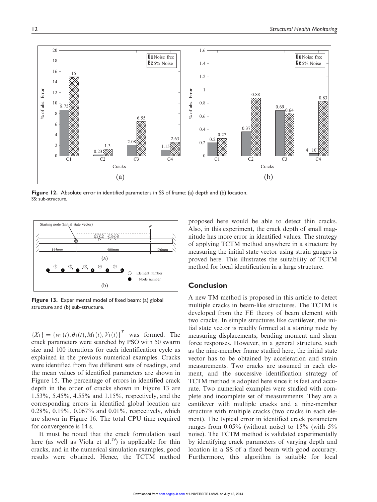

Figure 12. Absolute error in identified parameters in SS of frame: (a) depth and (b) location. SS: sub-structure.



Figure 13. Experimental model of fixed beam: (a) global structure and (b) sub-structure.

 ${X_1} = {w_1(t), \theta_1(t), M_1(t), V_1(t)}^T$  was formed. The crack parameters were searched by PSO with 50 swarm size and 100 iterations for each identification cycle as explained in the previous numerical examples. Cracks were identified from five different sets of readings, and the mean values of identified parameters are shown in Figure 15. The percentage of errors in identified crack depth in the order of cracks shown in Figure 13 are 1.53%, 5.45%, 4.55% and 1.15%, respectively, and the corresponding errors in identified global location are  $0.28\%$ ,  $0.19\%$ ,  $0.067\%$  and  $0.01\%$ , respectively, which are shown in Figure 16. The total CPU time required for convergence is 14 s.

It must be noted that the crack formulation used here (as well as Viola et al.<sup>19</sup>) is applicable for thin cracks, and in the numerical simulation examples, good results were obtained. Hence, the TCTM method

proposed here would be able to detect thin cracks. Also, in this experiment, the crack depth of small magnitude has more error in identified values. The strategy of applying TCTM method anywhere in a structure by measuring the initial state vector using strain gauges is proved here. This illustrates the suitability of TCTM method for local identification in a large structure.

#### **Conclusion**

A new TM method is proposed in this article to detect multiple cracks in beam-like structures. The TCTM is developed from the FE theory of beam element with two cracks. In simple structures like cantilever, the initial state vector is readily formed at a starting node by measuring displacements, bending moment and shear force responses. However, in a general structure, such as the nine-member frame studied here, the initial state vector has to be obtained by acceleration and strain measurements. Two cracks are assumed in each element, and the successive identification strategy of TCTM method is adopted here since it is fast and accurate. Two numerical examples were studied with complete and incomplete set of measurements. They are a cantilever with multiple cracks and a nine-member structure with multiple cracks (two cracks in each element). The typical error in identified crack parameters ranges from 0.05% (without noise) to 15% (with 5% noise). The TCTM method is validated experimentally by identifying crack parameters of varying depth and location in a SS of a fixed beam with good accuracy. Furthermore, this algorithm is suitable for local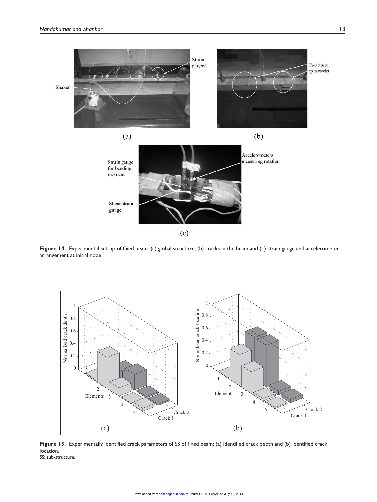

Figure 14. Experimental set-up of fixed beam: (a) global structure, (b) cracks in the beam and (c) strain gauge and accelerometer arrangement at initial node.



Figure 15. Experimentally identified crack parameters of SS of fixed beam: (a) identified crack depth and (b) identified crack location. SS: sub-structure.